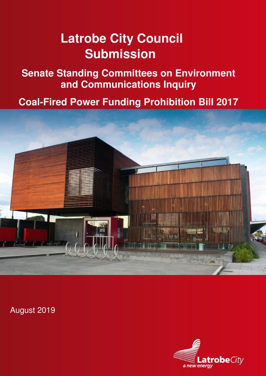# **Latrobe City Council Submission**

**Senate Standing Committees on Environment and Communications Inquiry** 

**Coal-Fired Power Funding Prohibition Bill 2017** 



August 2019

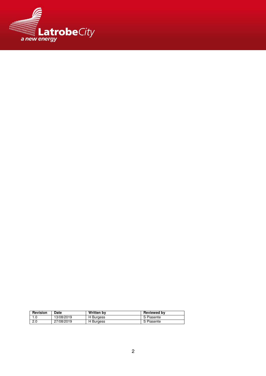

| Revision | Date       | <b>Written by</b> | <b>Reviewed by</b> |
|----------|------------|-------------------|--------------------|
|          | 13/08/2019 | H Burgess         | S Piasente         |
| 2.0      | 27/08/2019 | H Burgess         | S Piasente         |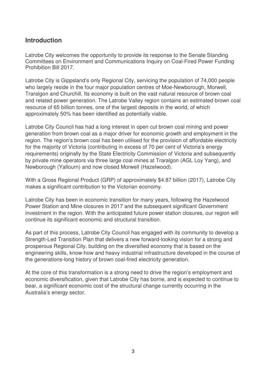### **Introduction**

Latrobe City welcomes the opportunity to provide its response to the Senate Standing Committees on Environment and Communications Inquiry on Coal-Fired Power Funding Prohibition Bill 2017.

Latrobe City is Gippsland's only Regional City, servicing the population of 74,000 people who largely reside in the four major population centres of Moe-Newborough, Morwell, Traralgon and Churchill. Its economy is built on the vast natural resource of brown coal and related power generation. The Latrobe Valley region contains an estimated brown coal resource of 65 billion tonnes, one of the largest deposits in the world, of which approximately 50% has been identified as potentially viable.

Latrobe City Council has had a long interest in open cut brown coal mining and power generation from brown coal as a major driver for economic growth and employment in the region. The region's brown coal has been utilised for the provision of affordable electricity for the majority of Victoria (contributing in excess of 70 per cent of Victoria's energy requirements) originally by the State Electricity Commission of Victoria and subsequently by private mine operators via three large coal mines at Traralgon (AGL Loy Yang), and Newborough (Yallourn) and now closed Morwell (Hazelwood).

With a Gross Regional Product (GRP) of approximately \$4.87 billion (2017), Latrobe City makes a significant contribution to the Victorian economy.

Latrobe City has been in economic transition for many years, following the Hazelwood Power Station and Mine closures in 2017 and the subsequent significant Government investment in the region. With the anticipated future power station closures, our region will continue its significant economic and structural transition.

As part of this process, Latrobe City Council has engaged with its community to develop a Strength-Led Transition Plan that delivers a new forward-looking vision for a strong and prosperous Regional City, building on the diversified economy that is based on the engineering skills, know-how and heavy industrial infrastructure developed in the course of the generations-long history of brown coal-fired electricity generation.

At the core of this transformation is a strong need to drive the region's employment and economic diversification, given that Latrobe City has borne, and is expected to continue to bear, a significant economic cost of the structural change currently occurring in the Australia's energy sector.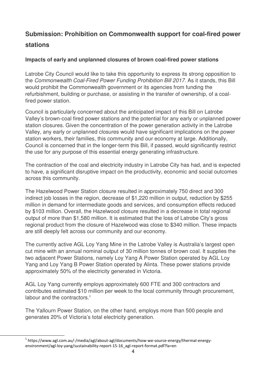## **Submission: Prohibition on Commonwealth support for coal-fired power stations**

#### **Impacts of early and unplanned closures of brown coal-fired power stations**

Latrobe City Council would like to take this opportunity to express its strong opposition to the Commonwealth Coal-Fired Power Funding Prohibition Bill 2017. As it stands, this Bill would prohibit the Commonwealth government or its agencies from funding the refurbishment, building or purchase, or assisting in the transfer of ownership, of a coalfired power station.

Council is particularly concerned about the anticipated impact of this Bill on Latrobe Valley's brown-coal fired power stations and the potential for any early or unplanned power station closures. Given the concentration of the power generation activity in the Latrobe Valley, any early or unplanned closures would have significant implications on the power station workers, their families, this community and our economy at large. Additionally, Council is concerned that in the longer-term this Bill, if passed, would significantly restrict the use for any purpose of this essential energy generating infrastructure.

The contraction of the coal and electricity industry in Latrobe City has had, and is expected to have, a significant disruptive impact on the productivity, economic and social outcomes across this community.

The Hazelwood Power Station closure resulted in approximately 750 direct and 300 indirect job losses in the region, decrease of \$1,220 million in output, reduction by \$255 million in demand for intermediate goods and services, and consumption effects reduced by \$103 million. Overall, the Hazelwood closure resulted in a decrease in total regional output of more than \$1,580 million. It is estimated that the loss of Latrobe City's gross regional product from the closure of Hazelwood was close to \$340 million. These impacts are still deeply felt across our community and our economy.

The currently active AGL Loy Yang Mine in the Latrobe Valley is Australia's largest open cut mine with an annual nominal output of 30 million tonnes of brown coal. It supplies the two adjacent Power Stations, namely Loy Yang A Power Station operated by AGL Loy Yang and Loy Yang B Power Station operated by Alinta. These power stations provide approximately 50% of the electricity generated in Victoria.

AGL Loy Yang currently employs approximately 600 FTE and 300 contractors and contributes estimated \$10 million per week to the local community through procurement, labour and the contractors  $1$ 

The Yallourn Power Station, on the other hand, employs more than 500 people and generates 20% of Victoria's total electricity generation.

 $\overline{a}$ 

<sup>&</sup>lt;sup>1</sup> https://www.agl.com.au/-/media/agl/about-agl/documents/how-we-source-energy/thermal-energyenvironment/agl-loy-yang/sustainability-report-15-16\_agl-report-format.pdf?la=en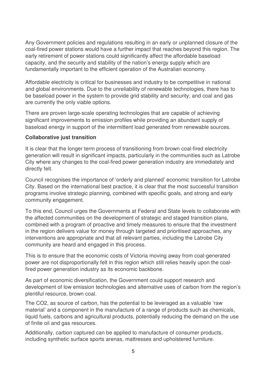Any Government policies and regulations resulting in an early or unplanned closure of the coal-fired power stations would have a further impact that reaches beyond this region. The early retirement of power stations could significantly affect the affordable baseload capacity, and the security and stability of the nation's energy supply which are fundamentally important to the efficient operation of the Australian economy.

Affordable electricity is critical for businesses and industry to be competitive in national and global environments. Due to the unreliability of renewable technologies, there has to be baseload power in the system to provide grid stability and security; and coal and gas are currently the only viable options.

There are proven large-scale operating technologies that are capable of achieving significant improvements to emission profiles while providing an abundant supply of baseload energy in support of the intermittent load generated from renewable sources.

#### **Collaborative just transition**

It is clear that the longer term process of transitioning from brown coal-fired electricity generation will result in significant impacts, particularly in the communities such as Latrobe City where any changes to the coal-fired power generation industry are immediately and directly felt.

Council recognises the importance of 'orderly and planned' economic transition for Latrobe City. Based on the international best practice, it is clear that the most successful transition programs involve strategic planning, combined with specific goals, and strong and early community engagement.

To this end, Council urges the Governments at Federal and State levels to collaborate with the affected communities on the development of strategic and staged transition plans, combined with a program of proactive and timely measures to ensure that the investment in the region delivers value for money through targeted and prioritised approaches, any interventions are appropriate and that all relevant parties, including the Latrobe City community are heard and engaged in this process.

This is to ensure that the economic costs of Victoria moving away from coal-generated power are not disproportionally felt in this region which still relies heavily upon the coalfired power generation industry as its economic backbone.

As part of economic diversification, the Government could support research and development of low emission technologies and alternative uses of carbon from the region's plentiful resource, brown coal.

The CO2, as source of carbon, has the potential to be leveraged as a valuable 'raw material' and a component in the manufacture of a range of products such as chemicals, liquid fuels, carbons and agricultural products, potentially reducing the demand on the use of finite oil and gas resources.

Additionally, carbon captured can be applied to manufacture of consumer products, including synthetic surface sports arenas, mattresses and upholstered furniture.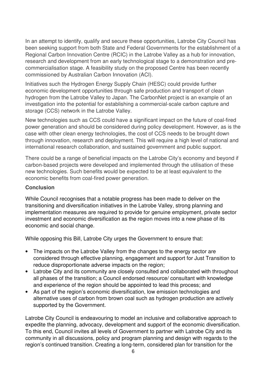In an attempt to identify, qualify and secure these opportunities, Latrobe City Council has been seeking support from both State and Federal Governments for the establishment of a Regional Carbon Innovation Centre (RCIC) in the Latrobe Valley as a hub for innovation, research and development from an early technological stage to a demonstration and precommercialisation stage. A feasibility study on the proposed Centre has been recently commissioned by Australian Carbon Innovation (ACI).

Initiatives such the Hydrogen Energy Supply Chain (HESC) could provide further economic development opportunities through safe production and transport of clean hydrogen from the Latrobe Valley to Japan. The CarbonNet project is an example of an investigation into the potential for establishing a commercial-scale carbon capture and storage (CCS) network in the Latrobe Valley.

New technologies such as CCS could have a significant impact on the future of coal-fired power generation and should be considered during policy development. However, as is the case with other clean energy technologies, the cost of CCS needs to be brought down through innovation, research and deployment. This will require a high level of national and international research collaboration, and sustained government and public support.

There could be a range of beneficial impacts on the Latrobe City's economy and beyond if carbon-based projects were developed and implemented through the utilisation of these new technologies. Such benefits would be expected to be at least equivalent to the economic benefits from coal-fired power generation.

#### **Conclusion**

While Council recognises that a notable progress has been made to deliver on the transitioning and diversification initiatives in the Latrobe Valley, strong planning and implementation measures are required to provide for genuine employment, private sector investment and economic diversification as the region moves into a new phase of its economic and social change.

While opposing this Bill, Latrobe City urges the Government to ensure that:

- The impacts on the Latrobe Valley from the changes to the energy sector are considered through effective planning, engagement and support for Just Transition to reduce disproportionate adverse impacts on the region;
- Latrobe City and its community are closely consulted and collaborated with throughout all phases of the transition; a Council endorsed resource/ consultant with knowledge and experience of the region should be appointed to lead this process; and
- As part of the region's economic diversification, low emission technologies and alternative uses of carbon from brown coal such as hydrogen production are actively supported by the Government.

Latrobe City Council is endeavouring to model an inclusive and collaborative approach to expedite the planning, advocacy, development and support of the economic diversification. To this end, Council invites all levels of Government to partner with Latrobe City and its community in all discussions, policy and program planning and design with regards to the region's continued transition. Creating a long-term, considered plan for transition for the